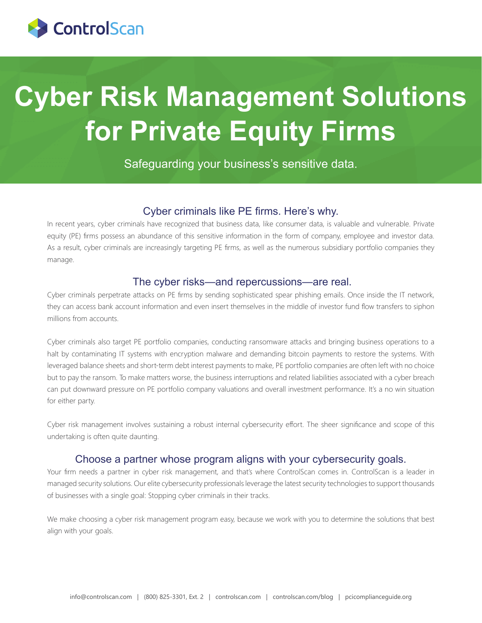

# **Cyber Risk Management Solutions for Private Equity Firms**

Safeguarding your business's sensitive data.

#### Cyber criminals like PE firms. Here's why.

In recent years, cyber criminals have recognized that business data, like consumer data, is valuable and vulnerable. Private equity (PE) firms possess an abundance of this sensitive information in the form of company, employee and investor data. As a result, cyber criminals are increasingly targeting PE firms, as well as the numerous subsidiary portfolio companies they manage.

### The cyber risks—and repercussions—are real.

Cyber criminals perpetrate attacks on PE firms by sending sophisticated spear phishing emails. Once inside the IT network, they can access bank account information and even insert themselves in the middle of investor fund flow transfers to siphon millions from accounts.

Cyber criminals also target PE portfolio companies, conducting ransomware attacks and bringing business operations to a halt by contaminating IT systems with encryption malware and demanding bitcoin payments to restore the systems. With leveraged balance sheets and short-term debt interest payments to make, PE portfolio companies are often left with no choice but to pay the ransom. To make matters worse, the business interruptions and related liabilities associated with a cyber breach can put downward pressure on PE portfolio company valuations and overall investment performance. It's a no win situation for either party.

Cyber risk management involves sustaining a robust internal cybersecurity effort. The sheer significance and scope of this undertaking is often quite daunting.

#### Choose a partner whose program aligns with your cybersecurity goals.

Your firm needs a partner in cyber risk management, and that's where ControlScan comes in. ControlScan is a leader in managed security solutions. Our elite cybersecurity professionals leverage the latest security technologies to support thousands of businesses with a single goal: Stopping cyber criminals in their tracks.

We make choosing a cyber risk management program easy, because we work with you to determine the solutions that best align with your goals.